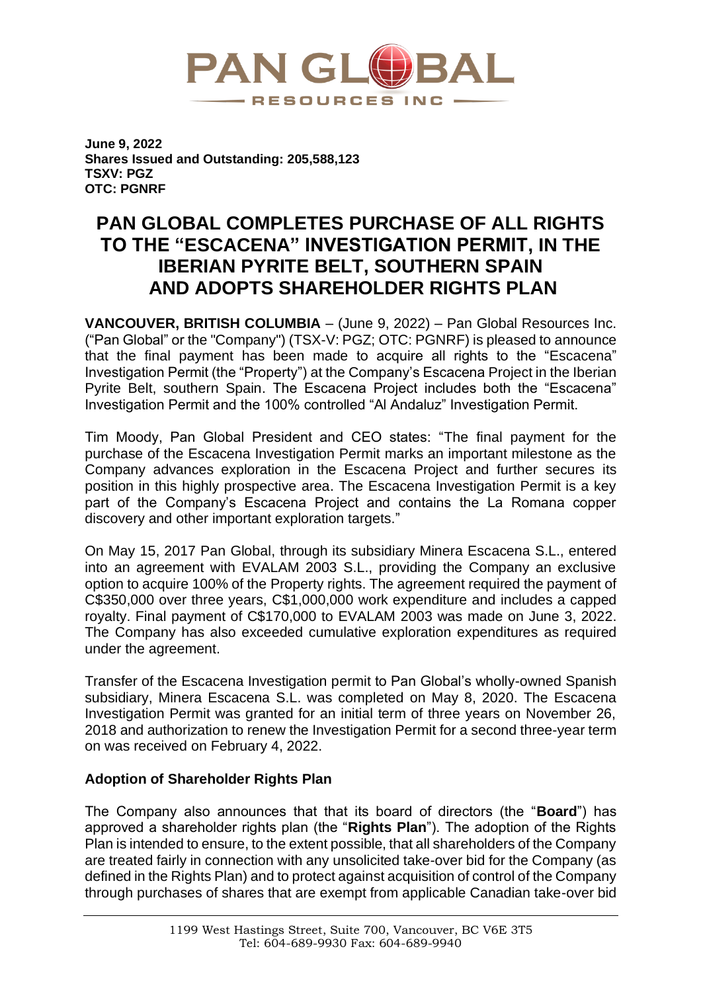

**June 9, 2022 Shares Issued and Outstanding: 205,588,123 TSXV: PGZ OTC: PGNRF**

# **PAN GLOBAL COMPLETES PURCHASE OF ALL RIGHTS TO THE "ESCACENA" INVESTIGATION PERMIT, IN THE IBERIAN PYRITE BELT, SOUTHERN SPAIN AND ADOPTS SHAREHOLDER RIGHTS PLAN**

**VANCOUVER, BRITISH COLUMBIA** – (June 9, 2022) – Pan Global Resources Inc. ("Pan Global" or the "Company") (TSX-V: PGZ; OTC: PGNRF) is pleased to announce that the final payment has been made to acquire all rights to the "Escacena" Investigation Permit (the "Property") at the Company's Escacena Project in the Iberian Pyrite Belt, southern Spain. The Escacena Project includes both the "Escacena" Investigation Permit and the 100% controlled "Al Andaluz" Investigation Permit.

Tim Moody, Pan Global President and CEO states: "The final payment for the purchase of the Escacena Investigation Permit marks an important milestone as the Company advances exploration in the Escacena Project and further secures its position in this highly prospective area. The Escacena Investigation Permit is a key part of the Company's Escacena Project and contains the La Romana copper discovery and other important exploration targets."

On May 15, 2017 Pan Global, through its subsidiary Minera Escacena S.L., entered into an agreement with EVALAM 2003 S.L., providing the Company an exclusive option to acquire 100% of the Property rights. The agreement required the payment of C\$350,000 over three years, C\$1,000,000 work expenditure and includes a capped royalty. Final payment of C\$170,000 to EVALAM 2003 was made on June 3, 2022. The Company has also exceeded cumulative exploration expenditures as required under the agreement.

Transfer of the Escacena Investigation permit to Pan Global's wholly-owned Spanish subsidiary, Minera Escacena S.L. was completed on May 8, 2020. The Escacena Investigation Permit was granted for an initial term of three years on November 26, 2018 and authorization to renew the Investigation Permit for a second three-year term on was received on February 4, 2022.

# **Adoption of Shareholder Rights Plan**

The Company also announces that that its board of directors (the "**Board**") has approved a shareholder rights plan (the "**Rights Plan**"). The adoption of the Rights Plan is intended to ensure, to the extent possible, that all shareholders of the Company are treated fairly in connection with any unsolicited take-over bid for the Company (as defined in the Rights Plan) and to protect against acquisition of control of the Company through purchases of shares that are exempt from applicable Canadian take-over bid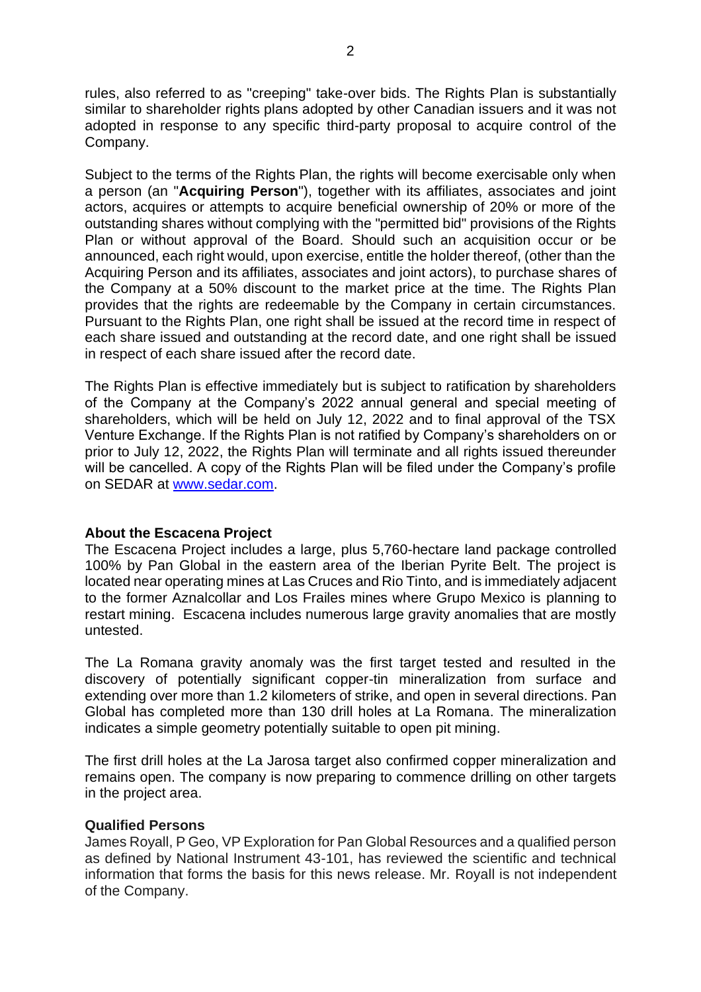rules, also referred to as "creeping" take-over bids. The Rights Plan is substantially similar to shareholder rights plans adopted by other Canadian issuers and it was not adopted in response to any specific third-party proposal to acquire control of the Company.

Subject to the terms of the Rights Plan, the rights will become exercisable only when a person (an "**Acquiring Person**"), together with its affiliates, associates and joint actors, acquires or attempts to acquire beneficial ownership of 20% or more of the outstanding shares without complying with the "permitted bid" provisions of the Rights Plan or without approval of the Board. Should such an acquisition occur or be announced, each right would, upon exercise, entitle the holder thereof, (other than the Acquiring Person and its affiliates, associates and joint actors), to purchase shares of the Company at a 50% discount to the market price at the time. The Rights Plan provides that the rights are redeemable by the Company in certain circumstances. Pursuant to the Rights Plan, one right shall be issued at the record time in respect of each share issued and outstanding at the record date, and one right shall be issued in respect of each share issued after the record date.

The Rights Plan is effective immediately but is subject to ratification by shareholders of the Company at the Company's 2022 annual general and special meeting of shareholders, which will be held on July 12, 2022 and to final approval of the TSX Venture Exchange. If the Rights Plan is not ratified by Company's shareholders on or prior to July 12, 2022, the Rights Plan will terminate and all rights issued thereunder will be cancelled. A copy of the Rights Plan will be filed under the Company's profile on SEDAR at [www.sedar.com.](https://cts.businesswire.com/ct/CT?id=smartlink&url=https%3A%2F%2Fc212.net%2Fc%2Flink%2F%3Ft%3D0%26l%3Den%26o%3D3394467-1%26h%3D266917184%26u%3Dhttp%253A%252F%252Fwww.sedar.com%252F%26a%3Dwww.sedar.com&esheet=52569146&newsitemid=20220127005089&lan=en-US&anchor=www.sedar.com&index=1&md5=cd696247c2aa58754f9c2e1602d653fd)

### **About the Escacena Project**

The Escacena Project includes a large, plus 5,760-hectare land package controlled 100% by Pan Global in the eastern area of the Iberian Pyrite Belt. The project is located near operating mines at Las Cruces and Rio Tinto, and is immediately adjacent to the former Aznalcollar and Los Frailes mines where Grupo Mexico is planning to restart mining. Escacena includes numerous large gravity anomalies that are mostly untested.

The La Romana gravity anomaly was the first target tested and resulted in the discovery of potentially significant copper-tin mineralization from surface and extending over more than 1.2 kilometers of strike, and open in several directions. Pan Global has completed more than 130 drill holes at La Romana. The mineralization indicates a simple geometry potentially suitable to open pit mining.

The first drill holes at the La Jarosa target also confirmed copper mineralization and remains open. The company is now preparing to commence drilling on other targets in the project area.

## **Qualified Persons**

James Royall, P Geo, VP Exploration for Pan Global Resources and a qualified person as defined by National Instrument 43-101, has reviewed the scientific and technical information that forms the basis for this news release. Mr. Royall is not independent of the Company.